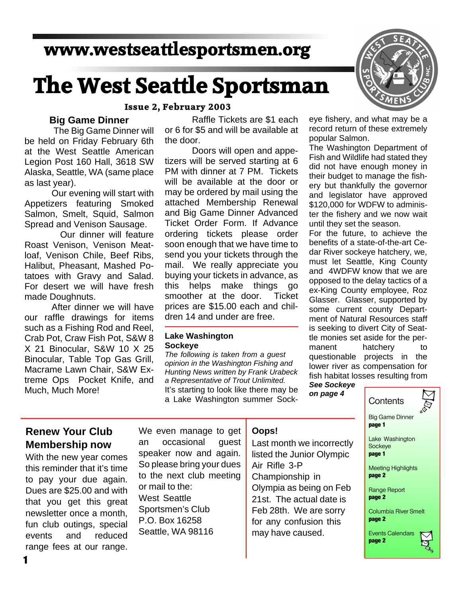# **www.westseattlesportsmen.org**

# **The West Seattle Sportsman**

#### **Issue 2, February 2003**

#### **Big Game Dinner**

 The Big Game Dinner will be held on Friday February 6th at the West Seattle American Legion Post 160 Hall, 3618 SW Alaska, Seattle, WA (same place as last year).

Our evening will start with Appetizers featuring Smoked Salmon, Smelt, Squid, Salmon Spread and Venison Sausage.

 Our dinner will feature Roast Venison, Venison Meatloaf, Venison Chile, Beef Ribs, Halibut, Pheasant, Mashed Potatoes with Gravy and Salad. For desert we will have fresh made Doughnuts.

After dinner we will have our raffle drawings for items such as a Fishing Rod and Reel, Crab Pot, Craw Fish Pot, S&W 8 X 21 Binocular, S&W 10 X 25 Binocular, Table Top Gas Grill, Macrame Lawn Chair, S&W Extreme Ops Pocket Knife, and Much, Much More!

Raffle Tickets are \$1 each or 6 for \$5 and will be available at the door.

Doors will open and appetizers will be served starting at 6 PM with dinner at 7 PM. Tickets will be available at the door or may be ordered by mail using the attached Membership Renewal and Big Game Dinner Advanced Ticket Order Form. If Advance ordering tickets please order soon enough that we have time to send you your tickets through the mail. We really appreciate you buying your tickets in advance, as this helps make things go smoother at the door. Ticket prices are \$15.00 each and children 14 and under are free.

#### **Lake Washington Sockeye**

*The following is taken from a guest opinion in the Washington Fishing and Hunting News written by Frank Urabeck a Representative of Trout Unlimited.* It's starting to look like there may be a Lake Washington summer Sock-



eye fishery, and what may be a record return of these extremely popular Salmon.

The Washington Department of Fish and Wildlife had stated they did not have enough money in their budget to manage the fishery but thankfully the governor and legislator have approved \$120,000 for WDFW to administer the fishery and we now wait until they set the season.

For the future, to achieve the benefits of a state-of-the-art Cedar River sockeye hatchery, we, must let Seattle, King County and 4WDFW know that we are opposed to the delay tactics of a ex-King County employee, Roz Glasser. Glasser, supported by some current county Department of Natural Resources staff is seeking to divert City of Seattle monies set aside for the permanent hatchery to questionable projects in the lower river as compensation for fish habitat losses resulting from

*See Sockeye on page 4*

# **Contents**



Columbia River Smelt **page 2**

Events Calendars **page 2**

#### **Renew Your Club Membership now**

With the new year comes this reminder that it's time to pay your due again. Dues are \$25.00 and with that you get this great newsletter once a month, fun club outings, special events and reduced range fees at our range.

We even manage to get an occasional guest speaker now and again. So please bring your dues to the next club meeting or mail to the: West Seattle Sportsmen's Club P.O. Box 16258 Seattle, WA 98116

#### **Oops!**

Last month we incorrectly listed the Junior Olympic Air Rifle 3-P Championship in Olympia as being on Feb 21st. The actual date is Feb 28th. We are sorry for any confusion this may have caused.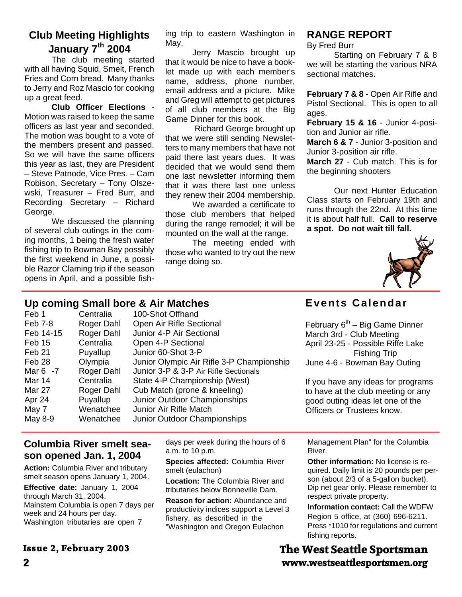# **Club Meeting Highlights January 7th 2004**

The club meeting started with all having Squid, Smelt, French Fries and Corn bread. Many thanks to Jerry and Roz Mascio for cooking up a great feed.

**Club Officer Elections** - Motion was raised to keep the same officers as last year and seconded. The motion was bought to a vote of the members present and passed. So we will have the same officers this year as last, they are President – Steve Patnode, Vice Pres. – Cam Robison, Secretary – Tony Olszewski, Treasurer – Fred Burr, and Recording Secretary – Richard George.

We discussed the planning of several club outings in the coming months, 1 being the fresh water fishing trip to Bowman Bay possibly the first weekend in June, a possible Razor Claming trip if the season opens in April, and a possible fish-

ing trip to eastern Washington in May.

Jerry Mascio brought up that it would be nice to have a booklet made up with each member's name, address, phone number, email address and a picture. Mike and Greg will attempt to get pictures of all club members at the Big Game Dinner for this book.

 Richard George brought up that we were still sending Newsletters to many members that have not paid there last years dues. It was decided that we would send them one last newsletter informing them that it was there last one unless they renew their 2004 membership.

We awarded a certificate to those club members that helped during the range remodel; it will be mounted on the wall at the range.

The meeting ended with those who wanted to try out the new range doing so.

# **RANGE REPORT**

By Fred Burr

Starting on February 7 & 8 we will be starting the various NRA sectional matches.

**February 7 & 8** - Open Air Rifle and Pistol Sectional. This is open to all ages.

**February 15 & 16** - Junior 4-position and Junior air rifle.

**March 6 & 7** - Junior 3-position and Junior 3-position air rifle.

**March 27** - Cub match. This is for the beginning shooters

Our next Hunter Education Class starts on February 19th and runs through the 22nd. At this time it is about half full. **Call to reserve a spot. Do not wait till fall.**

**Events Calendar**



### **Up coming Small bore & Air Matches**

| Feb 1       | Centralia  | 100-Shot Offhand                          |                                    |
|-------------|------------|-------------------------------------------|------------------------------------|
| Feb 7-8     | Roger Dahl | Open Air Rifle Sectional                  | February $6th$ – Big Game Dinner   |
| Feb 14-15   | Roger Dahl | Junior 4-P Air Sectional                  | March 3rd - Club Meeting           |
| Feb 15      | Centralia  | Open 4-P Sectional                        | April 23-25 - Possible Riffe Lake  |
| Feb 21      | Puyallup   | Junior 60-Shot 3-P                        | <b>Fishing Trip</b>                |
| Feb 28      | Olympia    | Junior Olympic Air Rifle 3-P Championship | June 4-6 - Bowman Bay Outing       |
| Mar $6 - 7$ | Roger Dahl | Junior 3-P & 3-P Air Rifle Sectionals     |                                    |
| Mar 14      | Centralia  | State 4-P Championship (West)             | If you have any ideas for programs |
| Mar 27      | Roger Dahl | Cub Match (prone & kneeling)              | to have at the club meeting or any |
| Apr 24      | Puyallup   | Junior Outdoor Championships              | good outing ideas let one of the   |
| May 7       | Wenatchee  | Junior Air Rifle Match                    | Officers or Trustees know.         |
| May 8-9     | Wenatchee  | Junior Outdoor Championships              |                                    |
|             |            |                                           |                                    |

### **Columbia River smelt season opened Jan. 1, 2004**

**Action:** Columbia River and tributary smelt season opens January 1, 2004. **Effective date:** January 1, 2004 through March 31, 2004. Mainstem Columbia is open 7 days per week and 24 hours per day. Washington tributaries are open 7

**Issue 2, February 2003** 

days per week during the hours of 6 a.m. to 10 p.m.

**Species affected:** Columbia River smelt (eulachon)

**Location:** The Columbia River and tributaries below Bonneville Dam.

**Reason for action:** Abundance and productivity indices support a Level 3 fishery, as described in the "Washington and Oregon Eulachon

Management Plan" for the Columbia River.

**Other information:** No license is required. Daily limit is 20 pounds per person (about 2/3 of a 5-gallon bucket). Dip net gear only. Please remember to respect private property.

**Information contact:** Call the WDFW Region 5 office, at (360) 696-6211. Press \*1010 for regulations and current fishing reports.

# **2 www.westseattlesportsmen.org The West Seattle Sportsman**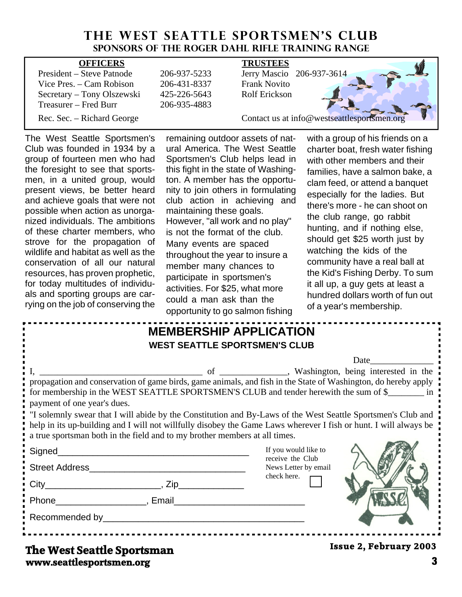# THE WEST SEATTLE SPORTSMEN'S CLUB **Sponsors of the Roger Dahl Rifle Training Range**

| <b>OFFICERS</b>            |              | <b>TRUSTEES</b>                             |
|----------------------------|--------------|---------------------------------------------|
| President – Steve Patnode  | 206-937-5233 | Jerry Mascio 206-937-3614                   |
| Vice Pres. – Cam Robison   | 206-431-8337 | <b>Frank Novito</b>                         |
| Secretary – Tony Olszewski | 425-226-5643 | Rolf Erickson                               |
| Treasurer – Fred Burr      | 206-935-4883 |                                             |
| Rec. Sec. – Richard George |              | Contact us at info@westseattlesportsmen.org |

The West Seattle Sportsmen's Club was founded in 1934 by a group of fourteen men who had the foresight to see that sportsmen, in a united group, would present views, be better heard and achieve goals that were not possible when action as unorganized individuals. The ambitions of these charter members, who strove for the propagation of wildlife and habitat as well as the conservation of all our natural resources, has proven prophetic, for today multitudes of individuals and sporting groups are carrying on the job of conserving the remaining outdoor assets of natural America. The West Seattle Sportsmen's Club helps lead in this fight in the state of Washington. A member has the opportunity to join others in formulating club action in achieving and maintaining these goals. However, "all work and no play" is not the format of the club. Many events are spaced throughout the year to insure a member many chances to participate in sportsmen's activities. For \$25, what more could a man ask than the opportunity to go salmon fishing

with a group of his friends on a charter boat, fresh water fishing with other members and their families, have a salmon bake, a clam feed, or attend a banquet especially for the ladies. But there's more - he can shoot on the club range, go rabbit hunting, and if nothing else, should get \$25 worth just by watching the kids of the community have a real ball at the Kid's Fishing Derby. To sum it all up, a guy gets at least a hundred dollars worth of fun out of a year's membership.

| <b>MEMBERSHIP APPLICATION</b>                                                                                                                                                                                                                                                                                          |                                                   |                               |
|------------------------------------------------------------------------------------------------------------------------------------------------------------------------------------------------------------------------------------------------------------------------------------------------------------------------|---------------------------------------------------|-------------------------------|
| <b>WEST SEATTLE SPORTSMEN'S CLUB</b>                                                                                                                                                                                                                                                                                   |                                                   |                               |
|                                                                                                                                                                                                                                                                                                                        |                                                   | Date                          |
|                                                                                                                                                                                                                                                                                                                        | of _________, Washington, being interested in the |                               |
| for membership in the WEST SEATTLE SPORTSMEN'S CLUB and tender herewith the sum of \$<br>payment of one year's dues.                                                                                                                                                                                                   |                                                   |                               |
| If your "I solemnly swear that I will abide by the Constitution and By-Laws of the West Seattle Sportsmen's Club and<br>help in its up-building and I will not willfully disobey the Game Laws wherever I fish or hunt. I will always be<br>a true sportsman both in the field and to my brother members at all times. |                                                   |                               |
|                                                                                                                                                                                                                                                                                                                        | If you would like to                              |                               |
|                                                                                                                                                                                                                                                                                                                        | receive the Club<br>News Letter by email          |                               |
| $City$ $City$ $Zip$                                                                                                                                                                                                                                                                                                    | check here.                                       |                               |
| Phone Representation of the Representation of the Representation of the Representation of the Representation of the Representation of the Representation of the Representation of the Representation of the Representation of                                                                                          |                                                   |                               |
|                                                                                                                                                                                                                                                                                                                        |                                                   |                               |
| The West Seattle Sportsman                                                                                                                                                                                                                                                                                             |                                                   | <b>Issue 2, February 2003</b> |

**www.seattlesportsmen.org 3**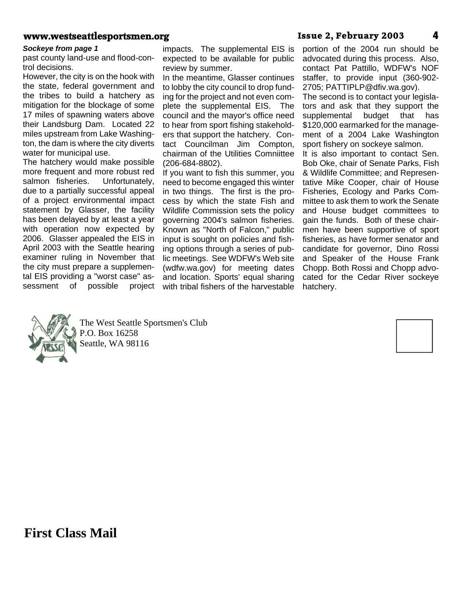#### **www.westseattlesportsmen.org Issue 2, February 2003 4**

#### *Sockeye from page 1*

past county land-use and flood-control decisions.

However, the city is on the hook with the state, federal government and the tribes to build a hatchery as mitigation for the blockage of some 17 miles of spawning waters above their Landsburg Dam. Located 22 miles upstream from Lake Washington, the dam is where the city diverts water for municipal use.

The hatchery would make possible more frequent and more robust red salmon fisheries. Unfortunately, due to a partially successful appeal of a project environmental impact statement by Glasser, the facility has been delayed by at least a year with operation now expected by 2006. Glasser appealed the EIS in April 2003 with the Seattle hearing examiner ruling in November that the city must prepare a supplemental EIS providing a "worst case" assessment of possible project impacts. The supplemental EIS is expected to be available for public review by summer.

In the meantime, Glasser continues to lobby the city council to drop funding for the project and not even complete the supplemental EIS. The council and the mayor's office need to hear from sport fishing stakeholders that support the hatchery. Contact Councilman Jim Compton, chairman of the Utilities Comniittee (206-684-8802).

If you want to fish this summer, you need to become engaged this winter in two things. The first is the process by which the state Fish and Wildlife Commission sets the policy governing 2004's salmon fisheries. Known as "North of Falcon," public input is sought on policies and fishing options through a series of public meetings. See WDFW's Web site (wdfw.wa.gov) for meeting dates and location. Sports' equal sharing with tribal fishers of the harvestable

portion of the 2004 run should be advocated during this process. Also, contact Pat Pattillo, WDFW's NOF staffer, to provide input (360-902- 2705; PATTIPLP@dfiv.wa.gov).

The second is to contact your legislators and ask that they support the supplemental budget that has \$120,000 earmarked for the management of a 2004 Lake Washington sport fishery on sockeye salmon.

It is also important to contact Sen. Bob Oke, chair of Senate Parks, Fish & Wildlife Committee; and Representative Mike Cooper, chair of House Fisheries, Ecology and Parks Committee to ask them to work the Senate and House budget committees to gain the funds. Both of these chairmen have been supportive of sport fisheries, as have former senator and candidate for governor, Dino Rossi and Speaker of the House Frank Chopp. Both Rossi and Chopp advocated for the Cedar River sockeye hatchery.



The West Seattle Sportsmen's Club P.O. Box 16258 Seattle, WA 98116



**First Class Mail**